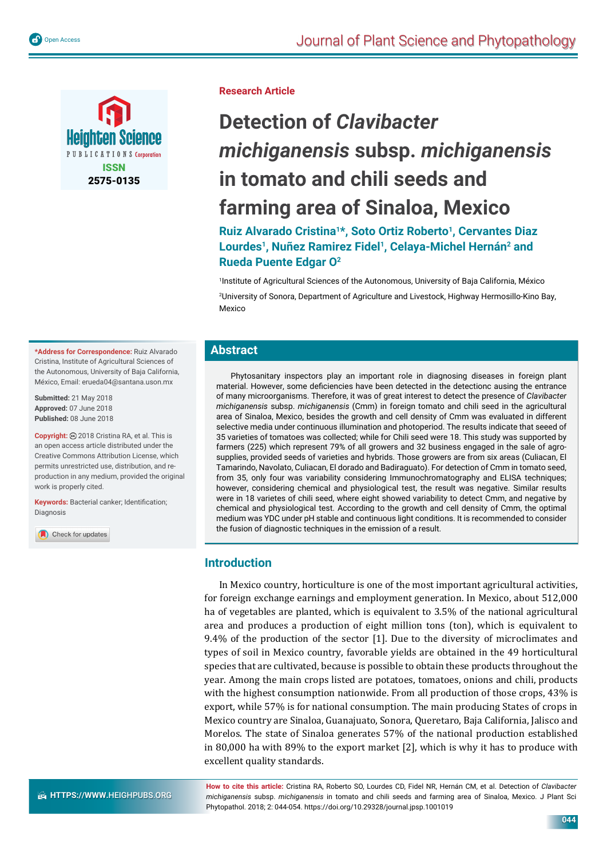



**\*Address for Correspondence:** Ruiz Alvarado Cristina, Institute of Agricultural Sciences of the Autonomous, University of Baja California, México, Email: erueda04@santana.uson.mx

**Submitted:** 21 May 2018 **Approved:** 07 June 2018 **Published:** 08 June 2018

**Copyright:** 2018 Cristina RA, et al. This is an open access article distributed under the Creative Commons Attribution License, which permits unrestricted use, distribution, and reproduction in any medium, provided the original work is properly cited.

Keywords: Bacterial canker; Identification; Diagnosis

Check for updates

**Research Article**

# **Detection of** *Clavibacter michiganensis* **subsp.** *michiganensis* **in tomato and chili seeds and farming area of Sinaloa, Mexico**

**Ruiz Alvarado Cristina1\*, Soto Ortiz Roberto1, Cervantes Diaz**  Lourdes<sup>1</sup>, Nuñez Ramirez Fidel<sup>1</sup>, Celaya-Michel Hernán<sup>2</sup> and **Rueda Puente Edgar O2**

1 Institute of Agricultural Sciences of the Autonomous, University of Baja California, México

2 University of Sonora, Department of Agriculture and Livestock, Highway Hermosillo-Kino Bay, Mexico

# **Abstract**

Phytosanitary inspectors play an important role in diagnosing diseases in foreign plant material. However, some deficiencies have been detected in the detectionc ausing the entrance of many microorganisms. Therefore, it was of great interest to detect the presence of *Clavibacter michiganensis* subsp. *michiganensis* (Cmm) in foreign tomato and chili seed in the agricultural area of Sinaloa, Mexico, besides the growth and cell density of Cmm was evaluated in different selective media under continuous illumination and photoperiod. The results indicate that seeed of 35 varieties of tomatoes was collected; while for Chili seed were 18. This study was supported by farmers (225) which represent 79% of all growers and 32 business engaged in the sale of agrosupplies, provided seeds of varieties and hybrids. Those growers are from six areas (Culiacan, El Tamarindo, Navolato, Culiacan, El dorado and Badiraguato). For detection of Cmm in tomato seed, from 35, only four was variability considering Immunochromatography and ELISA techniques; however, considering chemical and physiological test, the result was negative. Similar results were in 18 varietes of chili seed, where eight showed variability to detect Cmm, and negative by chemical and physiological test. According to the growth and cell density of Cmm, the optimal medium was YDC under pH stable and continuous light conditions. It is recommended to consider the fusion of diagnostic techniques in the emission of a result.

# **Introduction**

In Mexico country, horticulture is one of the most important agricultural activities, for foreign exchange earnings and employment generation. In Mexico, about 512,000 ha of vegetables are planted, which is equivalent to 3.5% of the national agricultural area and produces a production of eight million tons (ton), which is equivalent to 9.4% of the production of the sector [1]. Due to the diversity of microclimates and types of soil in Mexico country, favorable yields are obtained in the 49 horticultural species that are cultivated, because is possible to obtain these products throughout the year. Among the main crops listed are potatoes, tomatoes, onions and chili, products with the highest consumption nationwide. From all production of those crops, 43% is export, while 57% is for national consumption. The main producing States of crops in Mexico country are Sinaloa, Guanajuato, Sonora, Queretaro, Baja California, Jalisco and Morelos. The state of Sinaloa generates 57% of the national production established in 80,000 ha with 89% to the export market [2], which is why it has to produce with excellent quality standards.

**How to cite this article:** Cristina RA, Roberto SO, Lourdes CD, Fidel NR, Hernán CM, et al. Detection of *Clavibacter michiganensis* subsp. *michiganensis* in tomato and chili seeds and farming area of Sinaloa, Mexico. J Plant Sci Phytopathol. 2018; 2: 044-054. https://doi.org/10.29328/journal.jpsp.1001019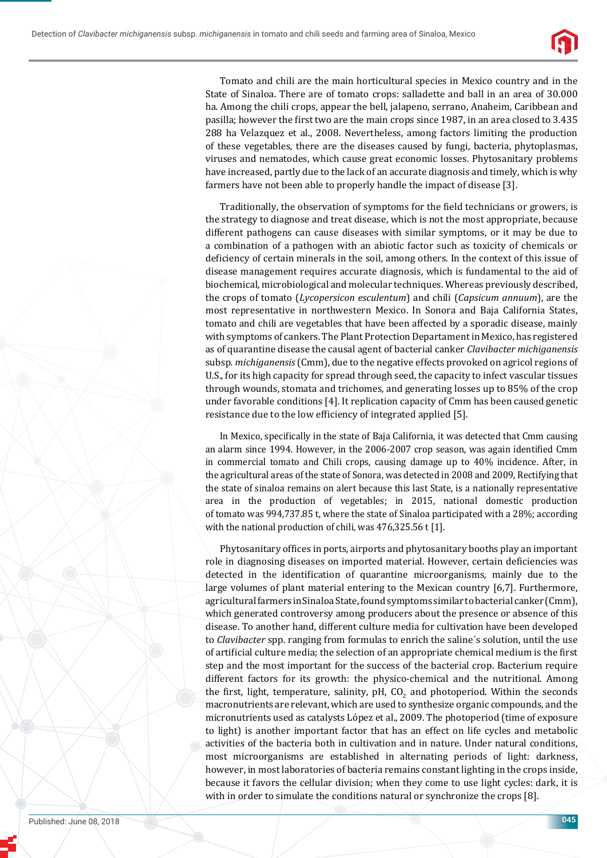

Tomato and chili are the main horticultural species in Mexico country and in the State of Sinaloa. There are of tomato crops: salladette and ball in an area of 30.000 ha. Among the chili crops, appear the bell, jalapeno, serrano, Anaheim, Caribbean and pasilla; however the first two are the main crops since 1987, in an area closed to 3.435 288 ha Velazquez et al., 2008. Nevertheless, among factors limiting the production of these vegetables, there are the diseases caused by fungi, bacteria, phytoplasmas, viruses and nematodes, which cause great economic losses. Phytosanitary problems have increased, partly due to the lack of an accurate diagnosis and timely, which is why farmers have not been able to properly handle the impact of disease [3].

Traditionally, the observation of symptoms for the field technicians or growers, is the strategy to diagnose and treat disease, which is not the most appropriate, because different pathogens can cause diseases with similar symptoms, or it may be due to a combination of a pathogen with an abiotic factor such as toxicity of chemicals or deficiency of certain minerals in the soil, among others. In the context of this issue of disease management requires accurate diagnosis, which is fundamental to the aid of biochemical, microbiological and molecular techniques. Whereas previously described, the crops of tomato (*Lycopersicon esculentum*) and chili (*Capsicum annuum*), are the most representative in northwestern Mexico. In Sonora and Baja California States, tomato and chili are vegetables that have been affected by a sporadic disease, mainly with symptoms of cankers. The Plant Protection Departament in Mexico, has registered as of quarantine disease the causal agent of bacterial canker *Clavibacter michiganensis* subsp*. michiganensis* (Cmm), due to the negative effects provoked on agricol regions of U.S., for its high capacity for spread through seed, the capacity to infect vascular tissues through wounds, stomata and trichomes, and generating losses up to 85% of the crop under favorable conditions [4]. It replication capacity of Cmm has been caused genetic resistance due to the low efficiency of integrated applied [5].

In Mexico, specifically in the state of Baja California, it was detected that Cmm causing an alarm since 1994. However, in the  $2006-2007$  crop season, was again identified Cmm in commercial tomato and Chili crops, causing damage up to 40% incidence. After, in the agricultural areas of the state of Sonora, was detected in 2008 and 2009, Rectifying that the state of sinaloa remains on alert because this last State, is a nationally representative area in the production of vegetables; in 2015, national domestic production of tomato was 994,737.85 t, where the state of Sinaloa participated with a 28%; according with the national production of chili, was 476,325.56 t [1].

Phytosanitary offices in ports, airports and phytosanitary booths play an important role in diagnosing diseases on imported material. However, certain deficiencies was detected in the identification of quarantine microorganisms, mainly due to the large volumes of plant material entering to the Mexican country [6,7]. Furthermore, agricultural farmers in Sinaloa State, found symptoms similar to bacterial canker (Cmm), which generated controversy among producers about the presence or absence of this disease. To another hand, different culture media for cultivation have been developed to *Clavibacter* spp. ranging from formulas to enrich the saline´s solution, until the use of artificial culture media; the selection of an appropriate chemical medium is the first step and the most important for the success of the bacterial crop. Bacterium require different factors for its growth: the physico-chemical and the nutritional. Among the first, light, temperature, salinity, pH,  $CO_2$  and photoperiod. Within the seconds macronutrients are relevant, which are used to synthesize organic compounds, and the micronutrients used as catalysts López et al., 2009. The photoperiod (time of exposure to light) is another important factor that has an effect on life cycles and metabolic activities of the bacteria both in cultivation and in nature. Under natural conditions, most microorganisms are established in alternating periods of light: darkness, however, in most laboratories of bacteria remains constant lighting in the crops inside, because it favors the cellular division; when they come to use light cycles: dark, it is with in order to simulate the conditions natural or synchronize the crops [8].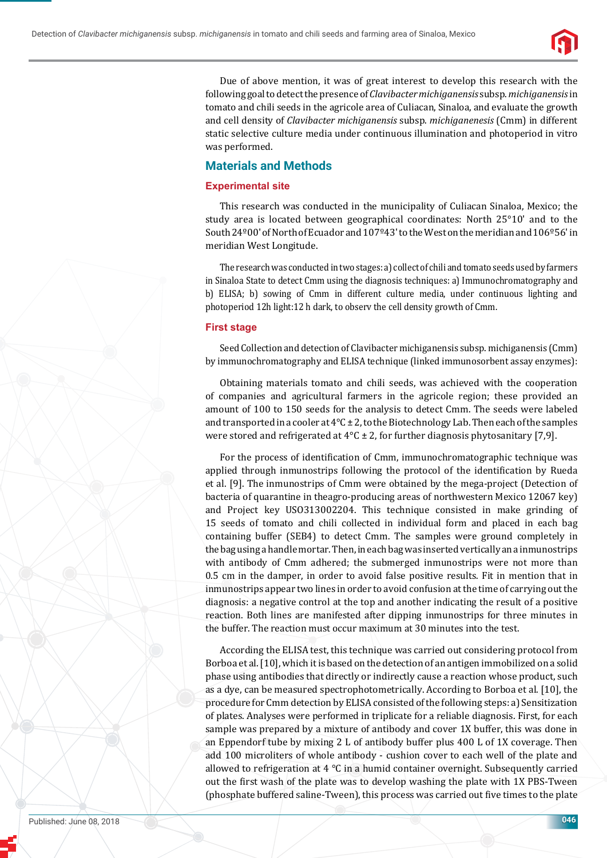

Due of above mention, it was of great interest to develop this research with the following goal to detect the presence of *Clavibacter michiganensis* subsp. *michiganensis* in tomato and chili seeds in the agricole area of Culiacan, Sinaloa, and evaluate the growth and cell density of *Clavibacter michiganensis* subsp. *michiganenesis* (Cmm) in different static selective culture media under continuous illumination and photoperiod in vitro was performed.

# **Materials and Methods**

## **Experimental site**

This research was conducted in the municipality of Culiacan Sinaloa, Mexico; the study area is located between geographical coordinates: North 25°10' and to the South 24º00' of North of Ecuador and 107º43' to the West on the meridian and 106º56' in meridian West Longitude.

The research was conducted in two stages: a) collect of chili and tomato seeds used by farmers in Sinaloa State to detect Cmm using the diagnosis techniques: a) Immunochromatography and b) ELISA; b) sowing of Cmm in different culture media, under continuous lighting and photoperiod 12h light:12 h dark, to observ the cell density growth of Cmm.

#### **First stage**

Seed Collection and detection of Clavibacter michiganensis subsp. michiganensis (Cmm) by immunochromatography and ELISA technique (linked immunosorbent assay enzymes):

Obtaining materials tomato and chili seeds, was achieved with the cooperation of companies and agricultural farmers in the agricole region; these provided an amount of 100 to 150 seeds for the analysis to detect Cmm. The seeds were labeled and transported in a cooler at  $4^{\circ}$ C ± 2, to the Biotechnology Lab. Then each of the samples were stored and refrigerated at  $4^{\circ}C \pm 2$ , for further diagnosis phytosanitary [7,9].

For the process of identification of Cmm, immunochromatographic technique was applied through inmunostrips following the protocol of the identification by Rueda et al. [9]. The inmunostrips of Cmm were obtained by the mega-project (Detection of bacteria of quarantine in theagro-producing areas of northwestern Mexico 12067 key) and Project key USO313002204. This technique consisted in make grinding of 15 seeds of tomato and chili collected in individual form and placed in each bag containing buffer (SEB4) to detect Cmm. The samples were ground completely in the bag using a handle mortar. Then, in each bag was inserted vertically an a inmunostrips with antibody of Cmm adhered; the submerged inmunostrips were not more than 0.5 cm in the damper, in order to avoid false positive results. Fit in mention that in inmunostrips appear two lines in order to avoid confusion at the time of carrying out the diagnosis: a negative control at the top and another indicating the result of a positive reaction. Both lines are manifested after dipping inmunostrips for three minutes in the buffer. The reaction must occur maximum at 30 minutes into the test.

According the ELISA test, this technique was carried out considering protocol from Borboa et al. [10], which it is based on the detection of an antigen immobilized on a solid phase using antibodies that directly or indirectly cause a reaction whose product, such as a dye, can be measured spectrophotometrically. According to Borboa et al. [10], the procedure for Cmm detection by ELISA consisted of the following steps: a) Sensitization of plates. Analyses were performed in triplicate for a reliable diagnosis. First, for each sample was prepared by a mixture of antibody and cover 1X buffer, this was done in an Eppendorf tube by mixing 2 L of antibody buffer plus 400 L of 1X coverage. Then add 100 microliters of whole antibody - cushion cover to each well of the plate and allowed to refrigeration at 4 °C in a humid container overnight. Subsequently carried out the first wash of the plate was to develop washing the plate with 1X PBS-Tween (phosphate buffered saline-Tween), this process was carried out five times to the plate

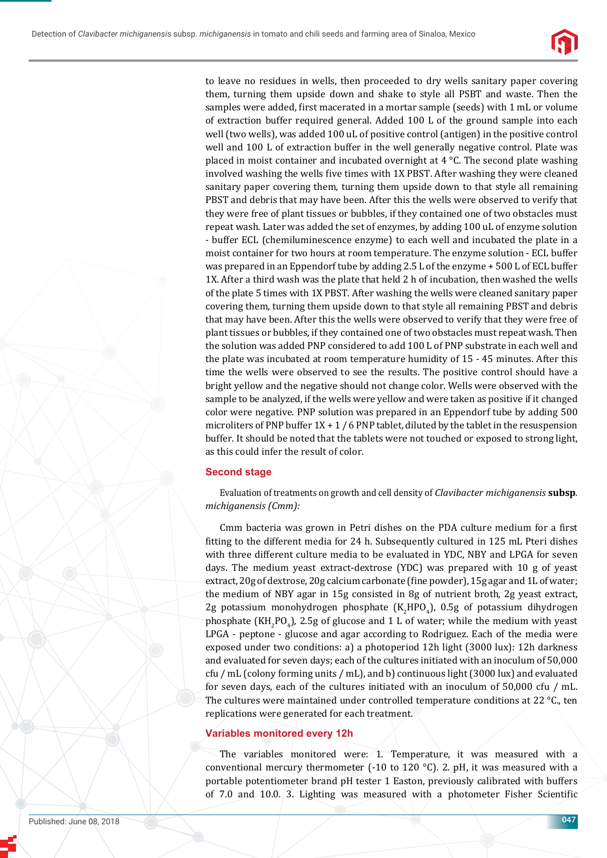

to leave no residues in wells, then proceeded to dry wells sanitary paper covering them, turning them upside down and shake to style all PSBT and waste. Then the samples were added, first macerated in a mortar sample (seeds) with 1 mL or volume of extraction buffer required general. Added 100 L of the ground sample into each well (two wells), was added 100 uL of positive control (antigen) in the positive control well and 100 L of extraction buffer in the well generally negative control. Plate was placed in moist container and incubated overnight at 4 °C. The second plate washing involved washing the wells five times with 1X PBST. After washing they were cleaned sanitary paper covering them, turning them upside down to that style all remaining PBST and debris that may have been. After this the wells were observed to verify that they were free of plant tissues or bubbles, if they contained one of two obstacles must repeat wash. Later was added the set of enzymes, by adding 100 uL of enzyme solution - buffer ECL (chemiluminescence enzyme) to each well and incubated the plate in a moist container for two hours at room temperature. The enzyme solution - ECL buffer was prepared in an Eppendorf tube by adding 2.5 L of the enzyme + 500 L of ECL buffer 1X. After a third wash was the plate that held 2 h of incubation, then washed the wells of the plate 5 times with 1X PBST. After washing the wells were cleaned sanitary paper covering them, turning them upside down to that style all remaining PBST and debris that may have been. After this the wells were observed to verify that they were free of plant tissues or bubbles, if they contained one of two obstacles must repeat wash. Then the solution was added PNP considered to add 100 L of PNP substrate in each well and the plate was incubated at room temperature humidity of 15 - 45 minutes. After this time the wells were observed to see the results. The positive control should have a bright yellow and the negative should not change color. Wells were observed with the sample to be analyzed, if the wells were yellow and were taken as positive if it changed color were negative. PNP solution was prepared in an Eppendorf tube by adding 500 microliters of PNP buffer  $1X + 1/6$  PNP tablet, diluted by the tablet in the resuspension buffer. It should be noted that the tablets were not touched or exposed to strong light, as this could infer the result of color.

## **Second stage**

Evaluation of treatments on growth and cell density of *Clavibacter michiganensis* **subsp***. michiganensis (Cmm):*

Cmm bacteria was grown in Petri dishes on the PDA culture medium for a first fitting to the different media for 24 h. Subsequently cultured in 125 mL Pteri dishes with three different culture media to be evaluated in YDC, NBY and LPGA for seven days. The medium yeast extract-dextrose (YDC) was prepared with 10 g of yeast extract, 20g of dextrose, 20g calcium carbonate (fine powder), 15g agar and 1L of water; the medium of NBY agar in 15g consisted in 8g of nutrient broth, 2g yeast extract, 2g potassium monohydrogen phosphate  $(K_2HPO_4)$ , 0.5g of potassium dihydrogen phosphate  $(KH_2PO_4)$ , 2.5g of glucose and 1 L of water; while the medium with yeast LPGA - peptone - glucose and agar according to Rodriguez. Each of the media were exposed under two conditions: a) a photoperiod 12h light (3000 lux): 12h darkness and evaluated for seven days; each of the cultures initiated with an inoculum of 50,000 cfu / mL (colony forming units / mL), and b) continuous light (3000 lux) and evaluated for seven days, each of the cultures initiated with an inoculum of 50,000 cfu / mL. The cultures were maintained under controlled temperature conditions at 22 °C., ten replications were generated for each treatment.

#### **Variables monitored every 12h**

The variables monitored were: 1. Temperature, it was measured with a conventional mercury thermometer (-10 to 120 °C). 2. pH, it was measured with a portable potentiometer brand pH tester 1 Easton, previously calibrated with buffers of 7.0 and 10.0. 3. Lighting was measured with a photometer Fisher Scientific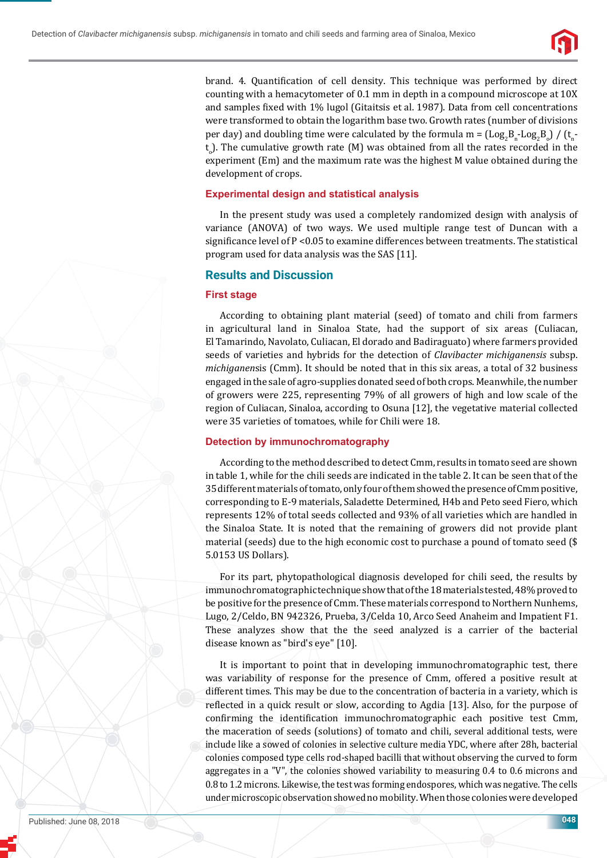

brand. 4. Quantification of cell density. This technique was performed by direct counting with a hemacytometer of 0.1 mm in depth in a compound microscope at 10X and samples fixed with 1% lugol (Gitaitsis et al. 1987). Data from cell concentrations were transformed to obtain the logarithm base two. Growth rates (number of divisions per day) and doubling time were calculated by the formula m =  $(\text{Log}_2 B_n\text{-Log}_2 B_o)$  /  $(t_n$  $t_{\circ}$ ). The cumulative growth rate (M) was obtained from all the rates recorded in the experiment (Em) and the maximum rate was the highest M value obtained during the development of crops.

#### **Experimental design and statistical analysis**

In the present study was used a completely randomized design with analysis of variance (ANOVA) of two ways. We used multiple range test of Duncan with a significance level of P < 0.05 to examine differences between treatments. The statistical program used for data analysis was the SAS [11].

## **Results and Discussion**

#### **First stage**

According to obtaining plant material (seed) of tomato and chili from farmers in agricultural land in Sinaloa State, had the support of six areas (Culiacan, El Tamarindo, Navolato, Culiacan, El dorado and Badiraguato) where farmers provided seeds of varieties and hybrids for the detection of *Clavibacter michiganensis* subsp. *michiganen*sis (Cmm). It should be noted that in this six areas, a total of 32 business engaged in the sale of agro-supplies donated seed of both crops. Meanwhile, the number of growers were 225, representing 79% of all growers of high and low scale of the region of Culiacan, Sinaloa, according to Osuna [12], the vegetative material collected were 35 varieties of tomatoes, while for Chili were 18.

#### **Detection by immunochromatography**

According to the method described to detect Cmm, results in tomato seed are shown in table 1, while for the chili seeds are indicated in the table 2. It can be seen that of the 35 different materials of tomato, only four of them showed the presence of Cmm positive, corresponding to E-9 materials, Saladette Determined, H4b and Peto seed Fiero, which represents 12% of total seeds collected and 93% of all varieties which are handled in the Sinaloa State. It is noted that the remaining of growers did not provide plant material (seeds) due to the high economic cost to purchase a pound of tomato seed (\$ 5.0153 US Dollars).

For its part, phytopathological diagnosis developed for chili seed, the results by immunochromatographic technique show that of the 18 materials tested, 48% proved to be positive for the presence of Cmm. These materials correspond to Northern Nunhems, Lugo, 2/Celdo, BN 942326, Prueba, 3/Celda 10, Arco Seed Anaheim and Impatient F1. These analyzes show that the the seed analyzed is a carrier of the bacterial disease known as "bird's eye" [10].

It is important to point that in developing immunochromatographic test, there was variability of response for the presence of Cmm, offered a positive result at different times. This may be due to the concentration of bacteria in a variety, which is reflected in a quick result or slow, according to Agdia [13]. Also, for the purpose of confirming the identification immunochromatographic each positive test Cmm, the maceration of seeds (solutions) of tomato and chili, several additional tests, were include like a sowed of colonies in selective culture media YDC, where after 28h, bacterial colonies composed type cells rod-shaped bacilli that without observing the curved to form aggregates in a "V", the colonies showed variability to measuring 0.4 to 0.6 microns and 0.8 to 1.2 microns. Likewise, the test was forming endospores, which was negative. The cells under microscopic observation showed no mobility. When those colonies were developed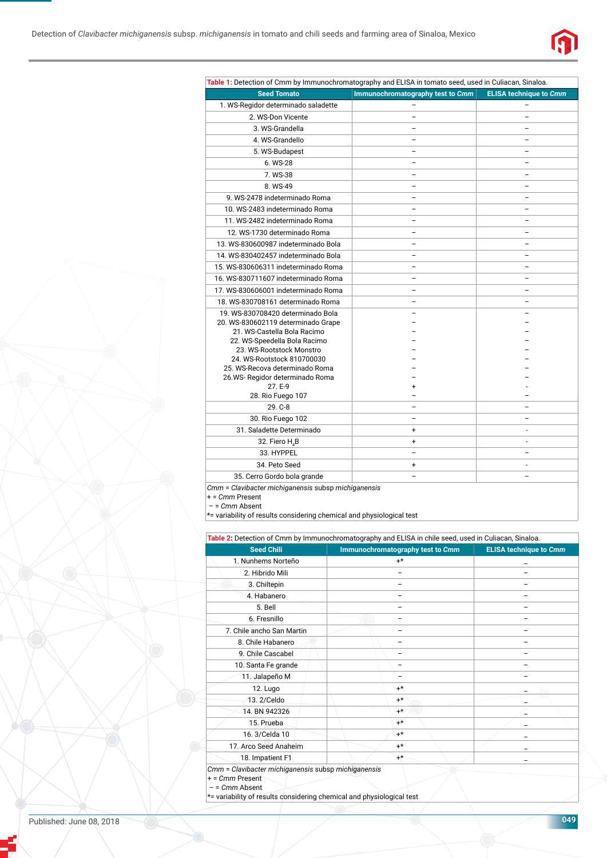

| Table 1: Detection of Cmm by Immunochromatography and ELISA in tomato seed, used in Culiacan, Sinaloa. |                                  |                               |  |  |  |
|--------------------------------------------------------------------------------------------------------|----------------------------------|-------------------------------|--|--|--|
| <b>Seed Tomato</b>                                                                                     | Immunochromatography test to Cmm | <b>ELISA technique to Cmm</b> |  |  |  |
| 1. WS-Regidor determinado saladette                                                                    |                                  |                               |  |  |  |
| 2. WS-Don Vicente                                                                                      |                                  |                               |  |  |  |
| 3. WS-Grandella                                                                                        |                                  |                               |  |  |  |
| 4. WS-Grandello                                                                                        |                                  |                               |  |  |  |
| 5. WS-Budapest                                                                                         |                                  |                               |  |  |  |
| 6. WS-28                                                                                               |                                  |                               |  |  |  |
| 7. WS-38                                                                                               |                                  |                               |  |  |  |
| 8. WS-49                                                                                               |                                  |                               |  |  |  |
| 9. WS-2478 indeterminado Roma                                                                          |                                  |                               |  |  |  |
| 10. WS-2483 indeterminado Roma                                                                         |                                  |                               |  |  |  |
| 11. WS-2482 indeterminado Roma                                                                         |                                  |                               |  |  |  |
| 12. WS-1730 determinado Roma                                                                           |                                  |                               |  |  |  |
| 13. WS-830600987 indeterminado Bola                                                                    |                                  |                               |  |  |  |
| 14. WS-830402457 indeterminado Bola                                                                    |                                  |                               |  |  |  |
| 15. WS-830606311 indeterminado Roma                                                                    |                                  |                               |  |  |  |
| 16. WS-830711607 indeterminado Roma                                                                    |                                  |                               |  |  |  |
| 17. WS-830606001 indeterminado Roma                                                                    |                                  |                               |  |  |  |
| 18. WS-830708161 determinado Roma                                                                      |                                  |                               |  |  |  |
| 19. WS-830708420 determinado Bola                                                                      |                                  |                               |  |  |  |
| 20. WS-830602119 determinado Grape                                                                     |                                  |                               |  |  |  |
| 21. WS-Castella Bola Racimo                                                                            |                                  |                               |  |  |  |
| 22. WS-Speedella Bola Racimo<br>23. WS-Rootstock Monstro                                               |                                  |                               |  |  |  |
| 24. WS-Rootstock 810700030                                                                             |                                  |                               |  |  |  |
| 25. WS-Recova determinado Roma                                                                         |                                  |                               |  |  |  |
| 26.WS-Regidor determinado Roma                                                                         |                                  |                               |  |  |  |
| 27. E-9                                                                                                | +                                |                               |  |  |  |
| 28. Rio Fuego 107                                                                                      |                                  |                               |  |  |  |
| 29. C-8                                                                                                |                                  |                               |  |  |  |
| 30. Rio Fuego 102                                                                                      |                                  |                               |  |  |  |
| 31. Saladette Determinado                                                                              | $\ddot{}$                        |                               |  |  |  |
| 32. Fiero H <sub>4</sub> B                                                                             | $\ddot{}$                        |                               |  |  |  |
| 33. HYPPEL                                                                                             |                                  |                               |  |  |  |
| 34. Peto Seed                                                                                          | $\ddot{}$                        |                               |  |  |  |
| 35. Cerro Gordo bola grande                                                                            |                                  |                               |  |  |  |
| Clauibeatar michigananais auban michigananais                                                          |                                  |                               |  |  |  |

 $Clavibacter$  michiganensis subsp michiganensis

+ = *Cmm* Present

– = *Cmm* Absent

\*= variability of results considering chemical and physiological test

| <b>Seed Chili</b>         |  | Immunochromatography test to Cmm |  | <b>ELISA technique to Cmm</b> |  |
|---------------------------|--|----------------------------------|--|-------------------------------|--|
| 1. Nunhems Norteño        |  | $+^{\star}$                      |  |                               |  |
| 2. Hibrido Mili           |  |                                  |  |                               |  |
| 3. Chiltepin              |  |                                  |  |                               |  |
| 4. Habanero               |  |                                  |  |                               |  |
| 5. Bell                   |  |                                  |  |                               |  |
| 6. Fresnillo              |  |                                  |  |                               |  |
| 7. Chile ancho San Martin |  |                                  |  |                               |  |
| 8. Chile Habanero         |  |                                  |  |                               |  |
| 9. Chile Cascabel         |  |                                  |  |                               |  |
| 10. Santa Fe grande       |  |                                  |  |                               |  |
| 11. Jalapeño M            |  |                                  |  |                               |  |
| <b>12. Lugo</b>           |  | $+*$                             |  |                               |  |
| 13. 2/Celdo               |  | $+*$                             |  |                               |  |
| 14. BN 942326             |  | $+^{\star}$                      |  |                               |  |
| 15. Prueba                |  | $+^*$                            |  |                               |  |
| 16.3/Celda 10             |  | $+*$                             |  |                               |  |
| 17. Arco Seed Anaheim     |  | $+*$                             |  |                               |  |
| 18. Impatient F1          |  | $+^{\star}$                      |  |                               |  |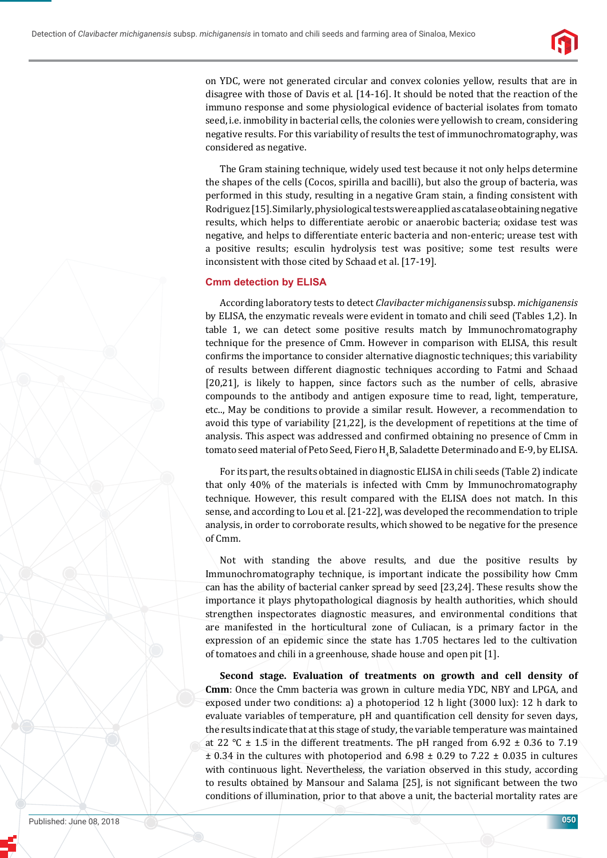

on YDC, were not generated circular and convex colonies yellow, results that are in disagree with those of Davis et al. [14-16]. It should be noted that the reaction of the immuno response and some physiological evidence of bacterial isolates from tomato seed, i.e. inmobility in bacterial cells, the colonies were yellowish to cream, considering negative results. For this variability of results the test of immunochromatography, was considered as negative.

The Gram staining technique, widely used test because it not only helps determine the shapes of the cells (Cocos, spirilla and bacilli), but also the group of bacteria, was performed in this study, resulting in a negative Gram stain, a finding consistent with Rodriguez [15]. Similarly, physiological tests were applied as catalase obtaining negative results, which helps to differentiate aerobic or anaerobic bacteria; oxidase test was negative, and helps to differentiate enteric bacteria and non-enteric; urease test with a positive results; esculin hydrolysis test was positive; some test results were inconsistent with those cited by Schaad et al. [17-19].

#### **Cmm detection by ELISA**

According laboratory tests to detect *Clavibacter michiganensis* subsp. *michiganensis* by ELISA, the enzymatic reveals were evident in tomato and chili seed (Tables 1,2). In table 1, we can detect some positive results match by Immunochromatography technique for the presence of Cmm. However in comparison with ELISA, this result confirms the importance to consider alternative diagnostic techniques; this variability of results between different diagnostic techniques according to Fatmi and Schaad [20,21], is likely to happen, since factors such as the number of cells, abrasive compounds to the antibody and antigen exposure time to read, light, temperature, etc.., May be conditions to provide a similar result. However, a recommendation to avoid this type of variability [21,22], is the development of repetitions at the time of analysis. This aspect was addressed and confirmed obtaining no presence of Cmm in tomato seed material of Peto Seed, Fiero  $\rm H_4 B$ , Saladette Determinado and E-9, by ELISA.

For its part, the results obtained in diagnostic ELISA in chili seeds (Table 2) indicate that only 40% of the materials is infected with Cmm by Immunochromatography technique. However, this result compared with the ELISA does not match. In this sense, and according to Lou et al. [21-22], was developed the recommendation to triple analysis, in order to corroborate results, which showed to be negative for the presence of Cmm.

Not with standing the above results, and due the positive results by Immunochromatography technique, is important indicate the possibility how Cmm can has the ability of bacterial canker spread by seed [23,24]. These results show the importance it plays phytopathological diagnosis by health authorities, which should strengthen inspectorates diagnostic measures, and environmental conditions that are manifested in the horticultural zone of Culiacan, is a primary factor in the expression of an epidemic since the state has 1.705 hectares led to the cultivation of tomatoes and chili in a greenhouse, shade house and open pit [1].

**Second stage. Evaluation of treatments on growth and cell density of Cmm**: Once the Cmm bacteria was grown in culture media YDC, NBY and LPGA, and exposed under two conditions: a) a photoperiod 12 h light (3000 lux): 12 h dark to evaluate variables of temperature, pH and quantification cell density for seven days, the results indicate that at this stage of study, the variable temperature was maintained at 22  $\degree$ C  $\pm$  1.5 in the different treatments. The pH ranged from 6.92  $\pm$  0.36 to 7.19  $\pm$  0.34 in the cultures with photoperiod and 6.98  $\pm$  0.29 to 7.22  $\pm$  0.035 in cultures with continuous light. Nevertheless, the variation observed in this study, according to results obtained by Mansour and Salama [25], is not significant between the two conditions of illumination, prior to that above a unit, the bacterial mortality rates are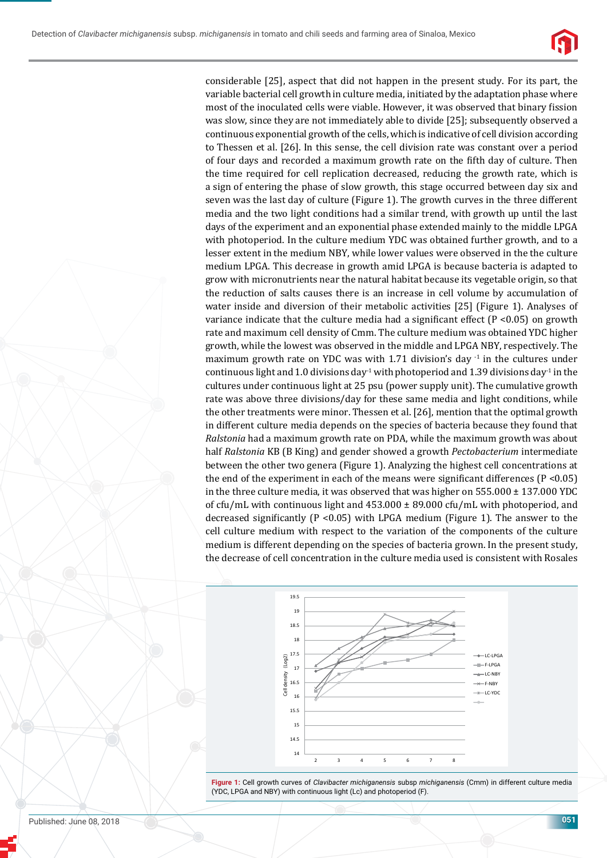

considerable [25], aspect that did not happen in the present study. For its part, the variable bacterial cell growth in culture media, initiated by the adaptation phase where most of the inoculated cells were viable. However, it was observed that binary fission was slow, since they are not immediately able to divide [25]; subsequently observed a continuous exponential growth of the cells, which is indicative of cell division according to Thessen et al. [26]. In this sense, the cell division rate was constant over a period of four days and recorded a maximum growth rate on the fifth day of culture. Then the time required for cell replication decreased, reducing the growth rate, which is a sign of entering the phase of slow growth, this stage occurred between day six and seven was the last day of culture (Figure 1). The growth curves in the three different media and the two light conditions had a similar trend, with growth up until the last days of the experiment and an exponential phase extended mainly to the middle LPGA with photoperiod. In the culture medium YDC was obtained further growth, and to a lesser extent in the medium NBY, while lower values were observed in the the culture medium LPGA. This decrease in growth amid LPGA is because bacteria is adapted to grow with micronutrients near the natural habitat because its vegetable origin, so that the reduction of salts causes there is an increase in cell volume by accumulation of water inside and diversion of their metabolic activities [25] (Figure 1). Analyses of variance indicate that the culture media had a significant effect  $(P < 0.05)$  on growth rate and maximum cell density of Cmm. The culture medium was obtained YDC higher growth, while the lowest was observed in the middle and LPGA NBY, respectively. The maximum growth rate on YDC was with 1.71 division's day  $^{-1}$  in the cultures under continuous light and 1.0 divisions day<sup>-1</sup> with photoperiod and 1.39 divisions day<sup>-1</sup> in the cultures under continuous light at 25 psu (power supply unit). The cumulative growth rate was above three divisions/day for these same media and light conditions, while the other treatments were minor. Thessen et al. [26], mention that the optimal growth in different culture media depends on the species of bacteria because they found that *Ralstonia* had a maximum growth rate on PDA, while the maximum growth was about half *Ralstonia* KB (B King) and gender showed a growth *Pectobacterium* intermediate between the other two genera (Figure 1). Analyzing the highest cell concentrations at the end of the experiment in each of the means were significant differences ( $P < 0.05$ ) in the three culture media, it was observed that was higher on  $555.000 \pm 137.000$  YDC of cfu/mL with continuous light and  $453.000 \pm 89.000$  cfu/mL with photoperiod, and decreased significantly (P < 0.05) with LPGA medium (Figure 1). The answer to the cell culture medium with respect to the variation of the components of the culture medium is different depending on the species of bacteria grown. In the present study, the decrease of cell concentration in the culture media used is consistent with Rosales



**Figure 1:** Cell growth curves of *Clavibacter michiganensis* subsp *michiganensis* (Cmm) in different culture media (YDC, LPGA and NBY) with continuous light (Lc) and photoperiod (F).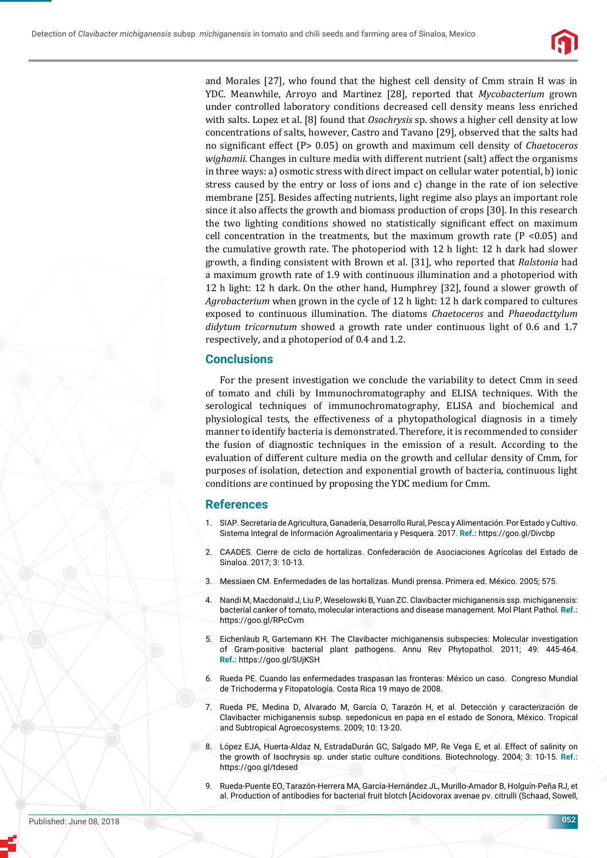

and Morales [27], who found that the highest cell density of Cmm strain H was in YDC. Meanwhile, Arroyo and Martinez [28], reported that *Mycobacterium* grown under controlled laboratory conditions decreased cell density means less enriched with salts. Lopez et al. [8] found that *Osochrysis* sp. shows a higher cell density at low concentrations of salts, however, Castro and Tavano [29], observed that the salts had no significant effect (P> 0.05) on growth and maximum cell density of *Chaetoceros wighamii*. Changes in culture media with different nutrient (salt) affect the organisms in three ways: a) osmotic stress with direct impact on cellular water potential, b) ionic stress caused by the entry or loss of ions and c) change in the rate of ion selective membrane [25]. Besides affecting nutrients, light regime also plays an important role since it also affects the growth and biomass production of crops [30]. In this research the two lighting conditions showed no statistically significant effect on maximum cell concentration in the treatments, but the maximum growth rate  $(P < 0.05)$  and the cumulative growth rate. The photoperiod with 12 h light: 12 h dark had slower growth, a finding consistent with Brown et al. [31], who reported that *Ralstonia* had a maximum growth rate of 1.9 with continuous illumination and a photoperiod with 12 h light: 12 h dark. On the other hand, Humphrey [32], found a slower growth of *Agrobacterium* when grown in the cycle of 12 h light: 12 h dark compared to cultures exposed to continuous illumination. The diatoms *Chaetoceros* and *Phaeodacttylum didytum tricornutum* showed a growth rate under continuous light of 0.6 and 1.7 respectively, and a photoperiod of 0.4 and 1.2.

## **Conclusions**

For the present investigation we conclude the variability to detect Cmm in seed of tomato and chili by Immunochromatography and ELISA techniques. With the serological techniques of immunochromatography, ELISA and biochemical and physiological tests, the effectiveness of a phytopathological diagnosis in a timely manner to identify bacteria is demonstrated. Therefore, it is recommended to consider the fusion of diagnostic techniques in the emission of a result. According to the evaluation of different culture media on the growth and cellular density of Cmm, for purposes of isolation, detection and exponential growth of bacteria, continuous light conditions are continued by proposing the YDC medium for Cmm.

#### **References**

- 1. SIAP. Secretaría de Agricultura, Ganadería, Desarrollo Rural, Pesca y Alimentación. Por Estado y Cultivo. Sistema Integral de Información Agroalimentaria y Pesquera. 2017. **Ref.:** https://goo.gl/Divcbp
- 2. CAADES. Cierre de ciclo de hortalizas. Confederación de Asociaciones Agrícolas del Estado de Sinaloa. 2017; 3: 10-13.
- 3. Messiaen CM. Enfermedades de las hortalizas. Mundi prensa. Primera ed. México. 2005; 575.
- 4. Nandi M, Macdonald J, Liu P, Weselowski B, Yuan ZC. Clavibacter michiganensis ssp. michiganensis: bacterial canker of tomato, molecular interactions and disease management. Mol Plant Pathol. **Ref.:**  https://goo.gl/RPcCvm
- 5. Eichenlaub R, Gartemann KH. The Clavibacter michiganensis subspecies: Molecular investigation of Gram-positive bacterial plant pathogens. Annu Rev Phytopathol. 2011; 49: 445-464. **Ref.:** https://goo.gl/SUjKSH
- 6. Rueda PE. Cuando las enfermedades traspasan las fronteras: México un caso. Congreso Mundial de Trichoderma y Fitopatología. Costa Rica 19 mayo de 2008.
- 7. Rueda PE, Medina D, Alvarado M, García O, Tarazón H, et al. Detección y caracterización de Clavibacter michiganensis subsp. sepedonicus en papa en el estado de Sonora, México. Tropical and Subtropical Agroecosystems. 2009; 10: 13-20.
- 8. López EJA, Huerta-Aldaz N, EstradaDurán GC, Salgado MP, Re Vega E, et al. Effect of salinity on the growth of Isochrysis sp. under static culture conditions. Biotechnology. 2004; 3: 10-15. **Ref.:** https://goo.gl/tdesed
- 9. Rueda-Puente EO, Tarazón-Herrera MA, García-Hernández JL, Murillo-Amador B, Holguín-Peña RJ, et al. Production of antibodies for bacterial fruit blotch [Acidovorax avenae pv. citrulli (Schaad, Sowell,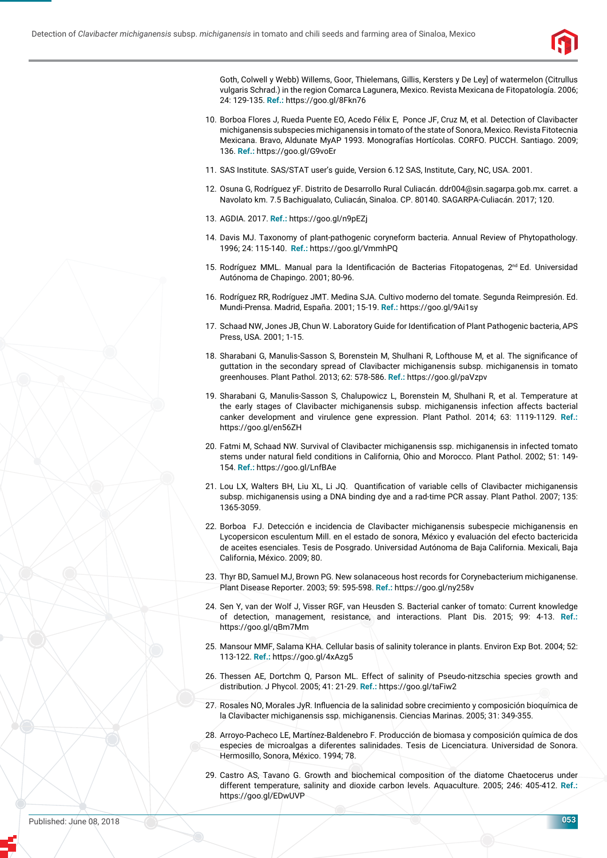

Goth, Colwell y Webb) Willems, Goor, Thielemans, Gillis, Kersters y De Ley] of watermelon (Citrullus vulgaris Schrad.) in the region Comarca Lagunera, Mexico. Revista Mexicana de Fitopatología. 2006; 24: 129-135. **Ref.:** https://goo.gl/8Fkn76

- 10. Borboa Flores J, Rueda Puente EO, Acedo Félix E, Ponce JF, Cruz M, et al. Detection of Clavibacter michiganensis subspecies michiganensis in tomato of the state of Sonora, Mexico. Revista Fitotecnia Mexicana. Bravo, Aldunate MyAP 1993. Monografías Hortícolas. CORFO. PUCCH. Santiago. 2009; 136. **Ref.:** https://goo.gl/G9voEr
- 11. SAS Institute. SAS/STAT user's guide, Version 6.12 SAS, Institute, Cary, NC, USA. 2001.
- 12. Osuna G, Rodríguez yF. Distrito de Desarrollo Rural Culiacán. ddr004@sin.sagarpa.gob.mx. carret. a Navolato km. 7.5 Bachigualato, Culiacán, Sinaloa. CP. 80140. SAGARPA-Culiacán. 2017; 120.
- 13. AGDIA. 2017. **Ref.:** https://goo.gl/n9pEZj
- 14. Davis MJ. Taxonomy of plant-pathogenic coryneform bacteria. Annual Review of Phytopathology. 1996; 24: 115-140. **Ref.:** https://goo.gl/VmmhPQ
- 15. Rodríguez MML. Manual para la Identificación de Bacterias Fitopatogenas, 2<sup>nd</sup> Ed. Universidad Autónoma de Chapingo. 2001; 80-96.
- 16. Rodríguez RR, Rodríguez JMT. Medina SJA. Cultivo moderno del tomate. Segunda Reimpresión. Ed. Mundi-Prensa. Madrid, España. 2001; 15-19. **Ref.:** https://goo.gl/9Ai1sy
- 17. Schaad NW, Jones JB, Chun W. Laboratory Guide for Identification of Plant Pathogenic bacteria, APS Press, USA. 2001; 1-15.
- 18. Sharabani G, Manulis-Sasson S, Borenstein M, Shulhani R, Lofthouse M, et al. The significance of guttation in the secondary spread of Clavibacter michiganensis subsp. michiganensis in tomato greenhouses. Plant Pathol. 2013; 62: 578-586. **Ref.:** https://goo.gl/paVzpv
- 19. Sharabani G, Manulis-Sasson S, Chalupowicz L, Borenstein M, Shulhani R, et al. Temperature at the early stages of Clavibacter michiganensis subsp. michiganensis infection affects bacterial canker development and virulence gene expression. Plant Pathol. 2014; 63: 1119-1129. **Ref.:** https://goo.gl/en56ZH
- 20. Fatmi M, Schaad NW. Survival of Clavibacter michiganensis ssp. michiganensis in infected tomato stems under natural field conditions in California, Ohio and Morocco. Plant Pathol. 2002; 51: 149-154. **Ref.:** https://goo.gl/LnfBAe
- 21. Lou LX, Walters BH, Liu XL, Li JQ. Quantification of variable cells of Clavibacter michiganensis subsp. michiganensis using a DNA binding dye and a rad-time PCR assay. Plant Pathol. 2007; 135: 1365-3059.
- 22. Borboa FJ. Detección e incidencia de Clavibacter michiganensis subespecie michiganensis en Lycopersicon esculentum Mill. en el estado de sonora, México y evaluación del efecto bactericida de aceites esenciales. Tesis de Posgrado. Universidad Autónoma de Baja California. Mexicali, Baja California, México. 2009; 80.
- 23. Thyr BD, Samuel MJ, Brown PG. New solanaceous host records for Corynebacterium michiganense. Plant Disease Reporter. 2003; 59: 595-598. **Ref.:** https://goo.gl/ny258v
- 24. Sen Y, van der Wolf J, Visser RGF, van Heusden S. Bacterial canker of tomato: Current knowledge of detection, management, resistance, and interactions. Plant Dis. 2015; 99: 4-13. **Ref.:** https://goo.gl/qBm7Mm
- 25. Mansour MMF, Salama KHA. Cellular basis of salinity tolerance in plants. Environ Exp Bot. 2004; 52: 113-122. **Ref.:** https://goo.gl/4xAzg5
- 26. Thessen AE, Dortchm Q, Parson ML. Effect of salinity of Pseudo-nitzschia species growth and distribution. J Phycol. 2005; 41: 21-29. **Ref.:** https://goo.gl/taFiw2
- 27. Rosales NO, Morales JyR. Influencia de la salinidad sobre crecimiento y composición bioquímica de la Clavibacter michiganensis ssp. michiganensis. Ciencias Marinas. 2005; 31: 349-355.
- 28. Arroyo-Pacheco LE, Martínez-Baldenebro F. Producción de biomasa y composición química de dos especies de microalgas a diferentes salinidades. Tesis de Licenciatura. Universidad de Sonora. Hermosillo, Sonora, México. 1994; 78.
- 29. Castro AS, Tavano G. Growth and biochemical composition of the diatome Chaetocerus under different temperature, salinity and dioxide carbon levels. Aquaculture. 2005; 246: 405-412. **Ref.:** https://goo.gl/EDwUVP